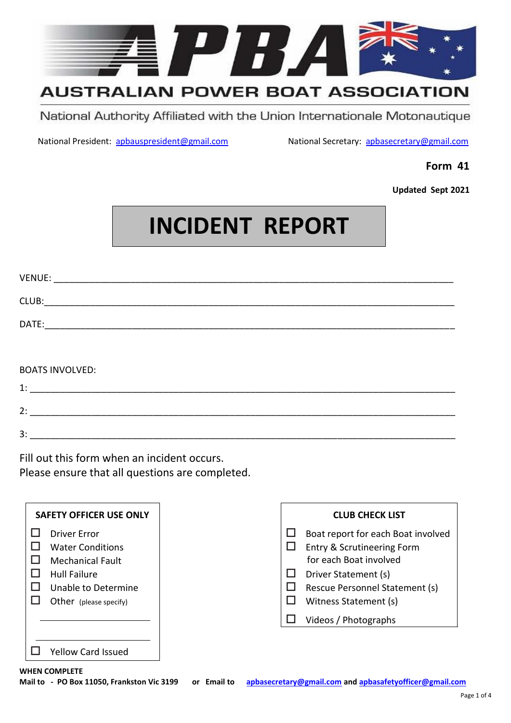

# **AUSTRALIAN POWER BOAT ASSOCIATION**

National Authority Affiliated with the Union Internationale Motonautique

National President: [apbauspresident@gmail.com](mailto:apbauspresident@gmail.com) National Secretary: apbasecretary@gmail.com

## **Form 41**

**Updated Sept 2021**

# **INCIDENT REPORT**

| VENUE:                                |
|---------------------------------------|
|                                       |
| DATE:                                 |
|                                       |
|                                       |
| <b>BOATS INVOLVED:</b>                |
| $\begin{tabular}{c} 1: \end{tabular}$ |
| 2:                                    |
| 3:                                    |

Fill out this form when an incident occurs.

Please ensure that all questions are completed.

| <b>SAFETY OFFICER USE ONLY</b>                                                                                                                    | <b>CLUB CHECK LIST</b>                                                                                                                                                        |
|---------------------------------------------------------------------------------------------------------------------------------------------------|-------------------------------------------------------------------------------------------------------------------------------------------------------------------------------|
| <b>Driver Error</b><br><b>Water Conditions</b><br><b>Mechanical Fault</b><br><b>Hull Failure</b><br>Unable to Determine<br>Other (please specify) | Boat report for each Boat involved<br>Entry & Scrutineering Form<br>for each Boat involved<br>Driver Statement (s)<br>Rescue Personnel Statement (s)<br>Witness Statement (s) |
|                                                                                                                                                   | Videos / Photographs                                                                                                                                                          |
| <b>Yellow Card Issued</b>                                                                                                                         |                                                                                                                                                                               |
| <b>WHEN COMPLETE</b>                                                                                                                              |                                                                                                                                                                               |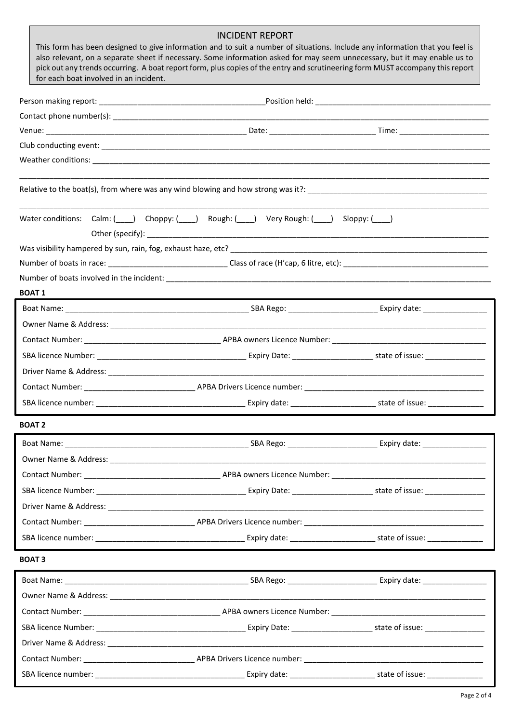|                                                                                                                                                                                                                                                           | <b>INCIDENT REPORT</b> |  |
|-----------------------------------------------------------------------------------------------------------------------------------------------------------------------------------------------------------------------------------------------------------|------------------------|--|
| This form has been designed to give information and to suit a number of situations. Include any information that you feel is<br>also relevant, on a separate sheet if necessary. Some information asked for may seem unnecessary, but it may enable us to |                        |  |
| pick out any trends occurring. A boat report form, plus copies of the entry and scrutineering form MUST accompany this report<br>for each boat involved in an incident.                                                                                   |                        |  |
|                                                                                                                                                                                                                                                           |                        |  |
|                                                                                                                                                                                                                                                           |                        |  |
|                                                                                                                                                                                                                                                           |                        |  |
|                                                                                                                                                                                                                                                           |                        |  |
|                                                                                                                                                                                                                                                           |                        |  |
|                                                                                                                                                                                                                                                           |                        |  |
| Water conditions: Calm: ( ) Choppy: ( ) Rough: ( ) Very Rough: ( ) Sloppy: ( )                                                                                                                                                                            |                        |  |
|                                                                                                                                                                                                                                                           |                        |  |
|                                                                                                                                                                                                                                                           |                        |  |
|                                                                                                                                                                                                                                                           |                        |  |
| <b>BOAT 1</b>                                                                                                                                                                                                                                             |                        |  |
|                                                                                                                                                                                                                                                           |                        |  |
|                                                                                                                                                                                                                                                           |                        |  |
|                                                                                                                                                                                                                                                           |                        |  |
|                                                                                                                                                                                                                                                           |                        |  |
|                                                                                                                                                                                                                                                           |                        |  |
|                                                                                                                                                                                                                                                           |                        |  |
|                                                                                                                                                                                                                                                           |                        |  |
| <b>BOAT 2</b>                                                                                                                                                                                                                                             |                        |  |
|                                                                                                                                                                                                                                                           |                        |  |
|                                                                                                                                                                                                                                                           |                        |  |
|                                                                                                                                                                                                                                                           |                        |  |
|                                                                                                                                                                                                                                                           |                        |  |
|                                                                                                                                                                                                                                                           |                        |  |
|                                                                                                                                                                                                                                                           |                        |  |
|                                                                                                                                                                                                                                                           |                        |  |
| <b>BOAT3</b>                                                                                                                                                                                                                                              |                        |  |
|                                                                                                                                                                                                                                                           |                        |  |
|                                                                                                                                                                                                                                                           |                        |  |
|                                                                                                                                                                                                                                                           |                        |  |
|                                                                                                                                                                                                                                                           |                        |  |
|                                                                                                                                                                                                                                                           |                        |  |
|                                                                                                                                                                                                                                                           |                        |  |
|                                                                                                                                                                                                                                                           |                        |  |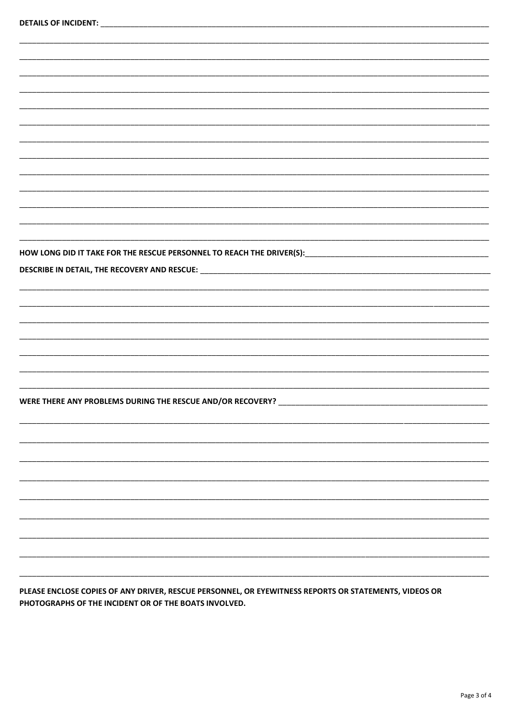| HOW LONG DID IT TAKE FOR THE RESCUE PERSONNEL TO REACH THE DRIVER(S): ______________________________ |  |
|------------------------------------------------------------------------------------------------------|--|
| DESCRIBE IN DETAIL, THE RECOVERY AND RESCUE: ___________________________________                     |  |
|                                                                                                      |  |
|                                                                                                      |  |
|                                                                                                      |  |
|                                                                                                      |  |
|                                                                                                      |  |
|                                                                                                      |  |
|                                                                                                      |  |
|                                                                                                      |  |
| WERE THERE ANY PROBLEMS DURING THE RESCUE AND/OR RECOVERY? ______________________                    |  |
|                                                                                                      |  |
|                                                                                                      |  |
|                                                                                                      |  |
|                                                                                                      |  |
|                                                                                                      |  |
|                                                                                                      |  |
|                                                                                                      |  |
|                                                                                                      |  |
|                                                                                                      |  |
|                                                                                                      |  |
|                                                                                                      |  |
|                                                                                                      |  |

PLEASE ENCLOSE COPIES OF ANY DRIVER, RESCUE PERSONNEL, OR EYEWITNESS REPORTS OR STATEMENTS, VIDEOS OR PHOTOGRAPHS OF THE INCIDENT OR OF THE BOATS INVOLVED.